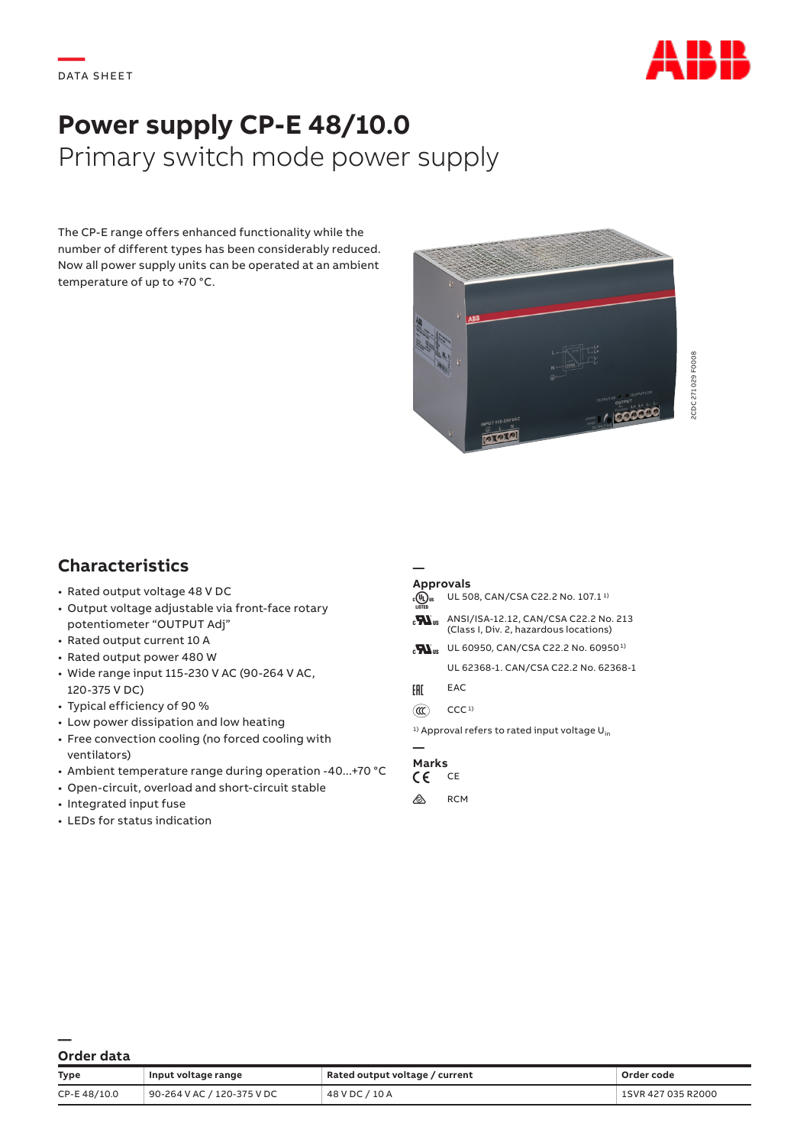

# **Power supply CP-E 48/10.0** Primary switch mode power supply

The CP-E range offers enhanced functionality while the number of different types has been considerably reduced. Now all power supply units can be operated at an ambient temperature of up to +70 °C.



## **Characteristics**

- Rated output voltage 48 V DC
- Output voltage adjustable via front-face rotary potentiometer "OUTPUT Adj"
- Rated output current 10 A
- Rated output power 480 W
- Wide range input 115-230 V AC (90-264 V AC, 120-375 V DC)
- Typical efficiency of 90 %
- Low power dissipation and low heating
- Free convection cooling (no forced cooling with ventilators)
- Ambient temperature range during operation -40...+70 °C
- Open-circuit, overload and short-circuit stable
- Integrated input fuse
- LEDs for status indication

#### **Approvals**

**—**

```
\overline{A} UL 508, CAN/CSA C22.2 No. 107.1<sup>1</sup>
\mathbf{H}_{\text{us}} ANSI/ISA-12.12, CAN/CSA C22.2 No. 213
         (Class I, Div. 2, hazardous locations)
\mathbf{H}_{\text{us}} UL 60950, CAN/CSA C22.2 No. 60950<sup>1)</sup>
         UL 62368-1. CAN/CSA C22.2 No. 62368-1
```
- FHI EAC
- $(\mathfrak{m})$  CCC<sup>1)</sup>

<sup>1)</sup> Approval refers to rated input voltage  $U_{in}$ 

## **— Marks**

#### a CE

 $\bigwedge$  RCM

**— Order data**

| <b>Type</b> | Input voltage range        | Rated output voltage / current | Order code         |
|-------------|----------------------------|--------------------------------|--------------------|
| CP-E48/10.0 | 90-264 V AC / 120-375 V DC | 48 V DC / 10 A                 | 1SVR 427 035 R2000 |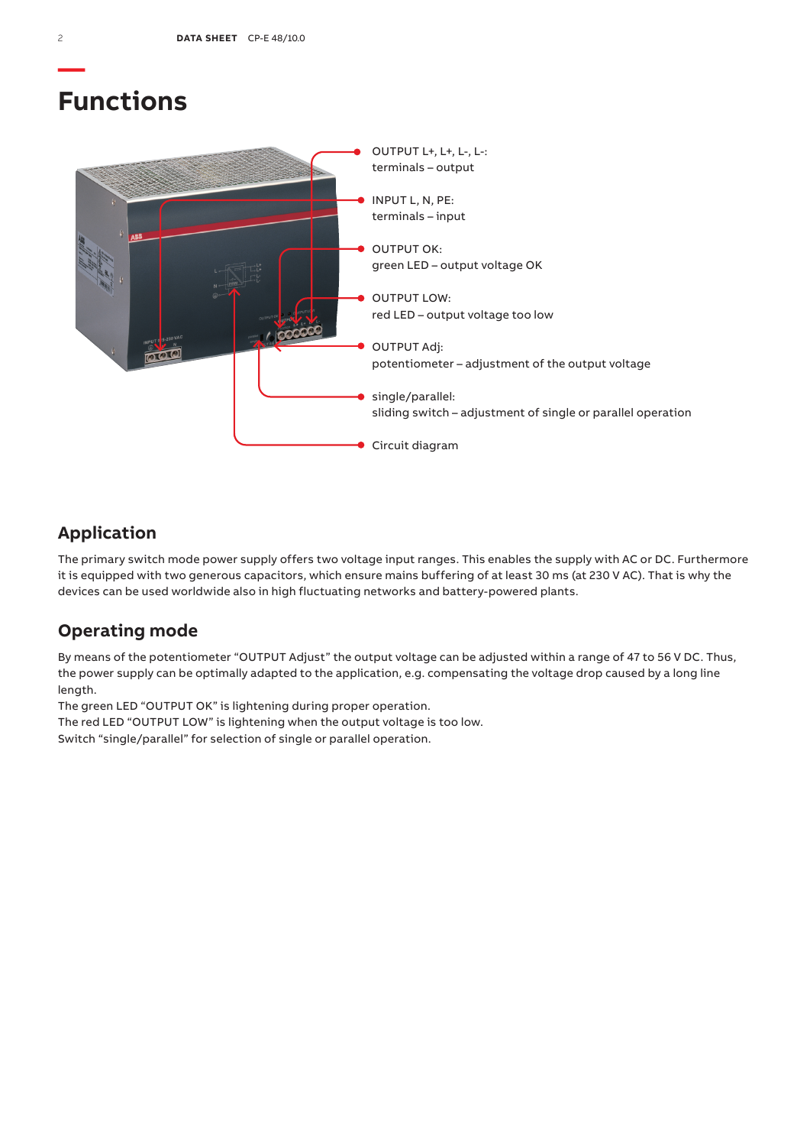# **Functions**



## **Application**

The primary switch mode power supply offers two voltage input ranges. This enables the supply with AC or DC. Furthermore it is equipped with two generous capacitors, which ensure mains buffering of at least 30 ms (at 230 V AC). That is why the devices can be used worldwide also in high fluctuating networks and battery-powered plants.

## **Operating mode**

By means of the potentiometer "OUTPUT Adjust" the output voltage can be adjusted within a range of 47 to 56 V DC. Thus, the power supply can be optimally adapted to the application, e.g. compensating the voltage drop caused by a long line length.

The green LED "OUTPUT OK" is lightening during proper operation.

The red LED "OUTPUT LOW" is lightening when the output voltage is too low.

Switch "single/parallel" for selection of single or parallel operation.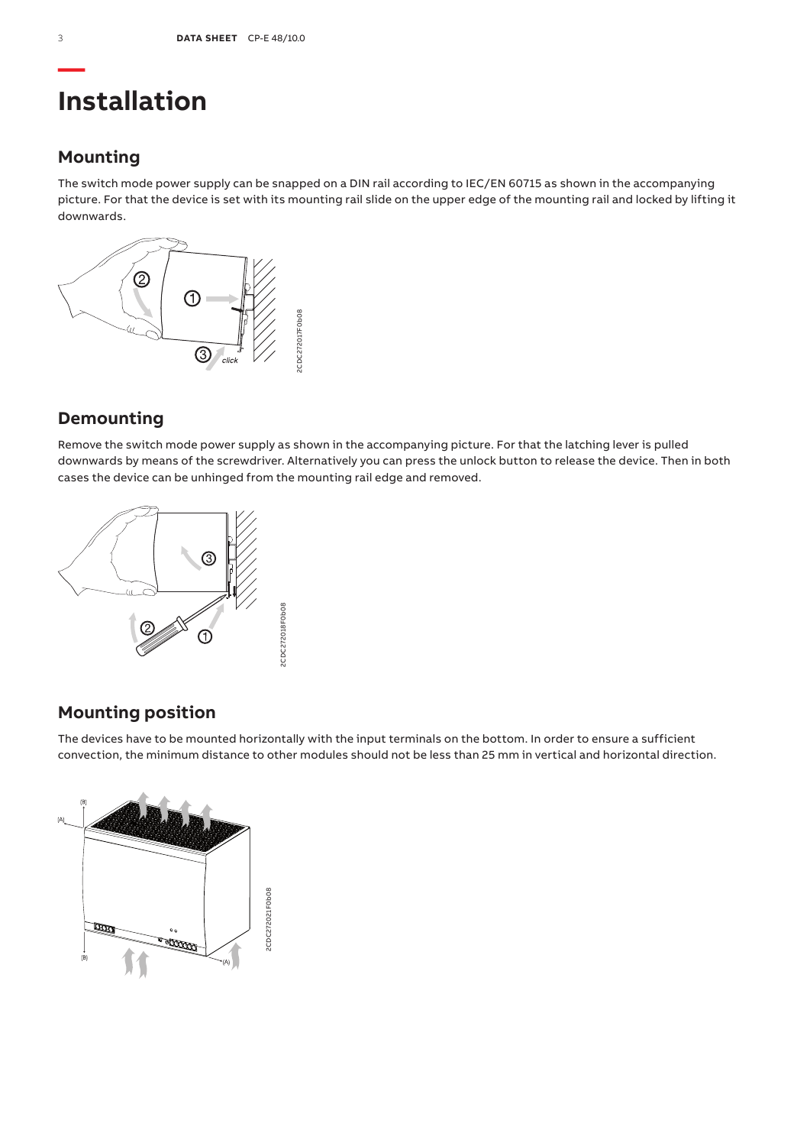# **Installation**

## **Mounting**

The switch mode power supply can be snapped on a DIN rail according to IEC/EN 60715 as shown in the accompanying picture. For that the device is set with its mounting rail slide on the upper edge of the mounting rail and locked by lifting it downwards.



## **Demounting**

Remove the switch mode power supply as shown in the accompanying picture. For that the latching lever is pulled downwards by means of the screwdriver. Alternatively you can press the unlock button to release the device. Then in both cases the device can be unhinged from the mounting rail edge and removed.



# **Mounting position**

The devices have to be mounted horizontally with the input terminals on the bottom. In order to ensure a sufficient convection, the minimum distance to other modules should not be less than 25 mm in vertical and horizontal direction.

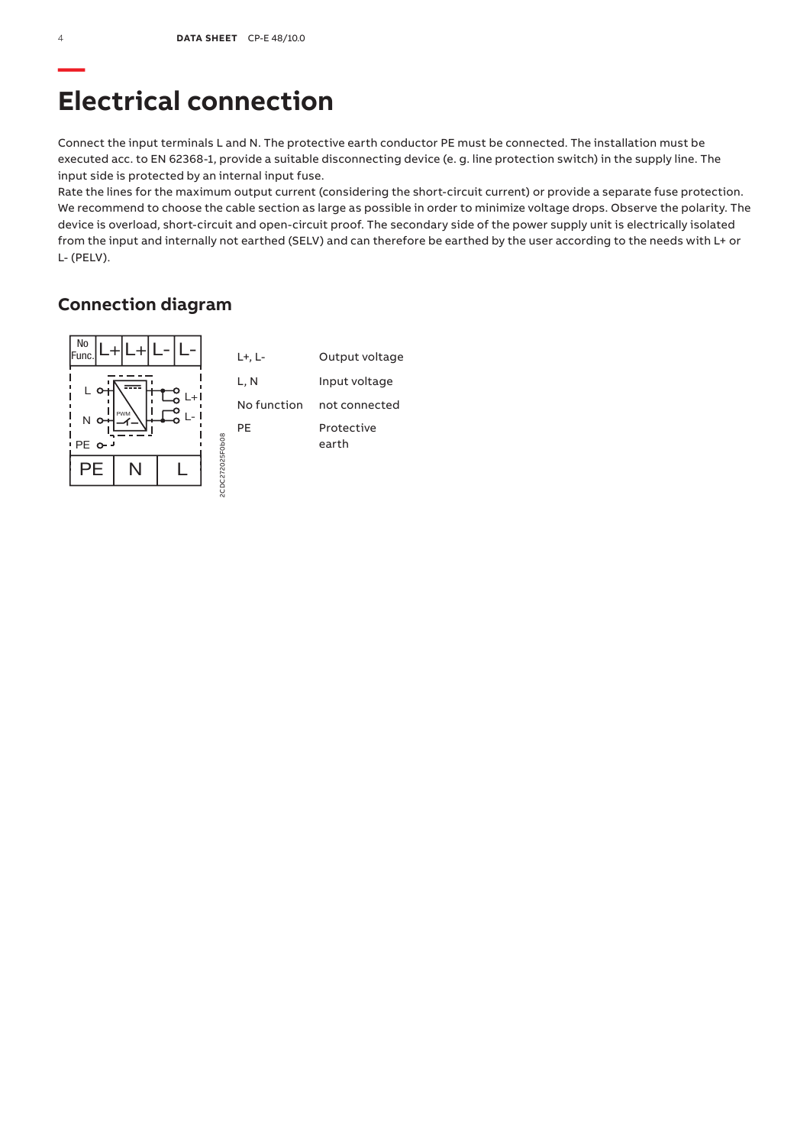# **Electrical connection**

Connect the input terminals L and N. The protective earth conductor PE must be connected. The installation must be executed acc. to EN 62368-1, provide a suitable disconnecting device (e. g. line protection switch) in the supply line. The input side is protected by an internal input fuse.

Rate the lines for the maximum output current (considering the short-circuit current) or provide a separate fuse protection. We recommend to choose the cable section as large as possible in order to minimize voltage drops. Observe the polarity. The device is overload, short-circuit and open-circuit proof. The secondary side of the power supply unit is electrically isolated from the input and internally not earthed (SELV) and can therefore be earthed by the user according to the needs with L+ or L- (PELV).

## **Connection diagram**

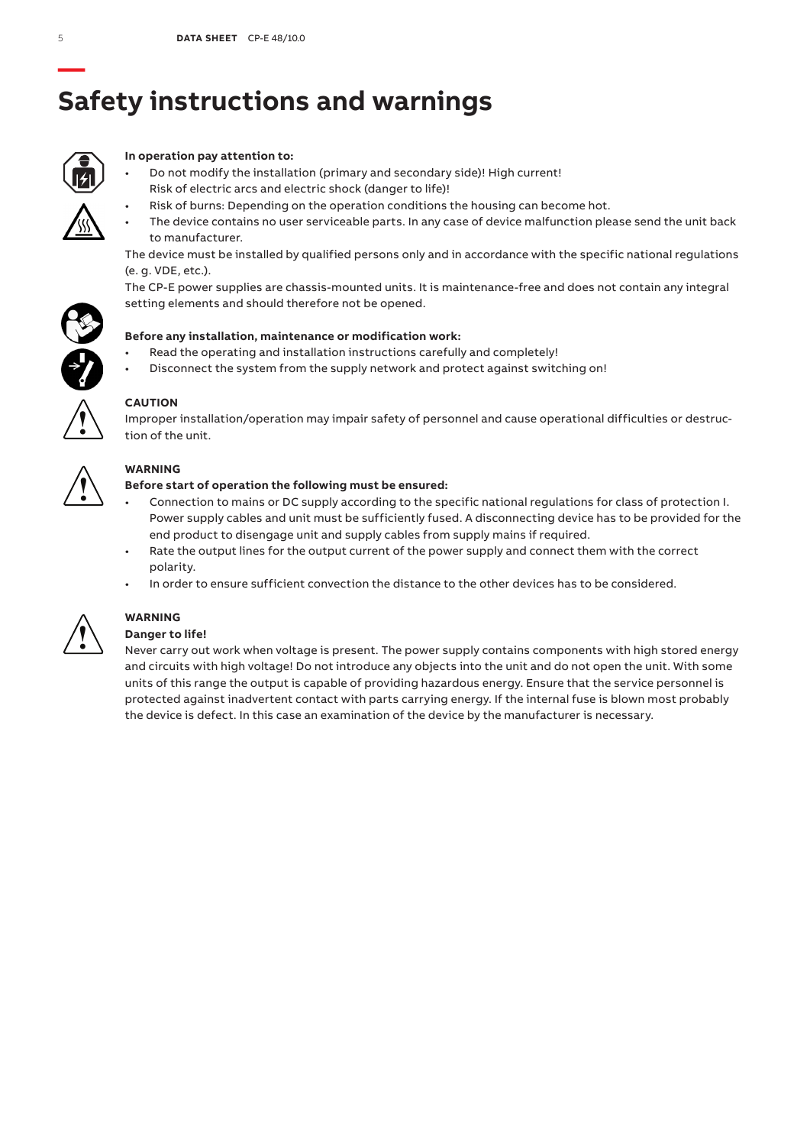# **— Safety instructions and warnings**



### **In operation pay attention to:**

- Do not modify the installation (primary and secondary side)! High current! Risk of electric arcs and electric shock (danger to life)!
	- Risk of burns: Depending on the operation conditions the housing can become hot.
- The device contains no user serviceable parts. In any case of device malfunction please send the unit back to manufacturer.

The device must be installed by qualified persons only and in accordance with the specific national regulations (e. g. VDE, etc.).

The CP-E power supplies are chassis-mounted units. It is maintenance-free and does not contain any integral setting elements and should therefore not be opened.



- Read the operating and installation instructions carefully and completely!
- Disconnect the system from the supply network and protect against switching on!



## **CAUTION**

Improper installation/operation may impair safety of personnel and cause operational difficulties or destruction of the unit.



### **WARNING**

### **Before start of operation the following must be ensured:**

- Connection to mains or DC supply according to the specific national regulations for class of protection I. Power supply cables and unit must be sufficiently fused. A disconnecting device has to be provided for the end product to disengage unit and supply cables from supply mains if required.
- Rate the output lines for the output current of the power supply and connect them with the correct polarity.
- In order to ensure sufficient convection the distance to the other devices has to be considered.



# **WARNING**

## **Danger to life!**

Never carry out work when voltage is present. The power supply contains components with high stored energy and circuits with high voltage! Do not introduce any objects into the unit and do not open the unit. With some units of this range the output is capable of providing hazardous energy. Ensure that the service personnel is protected against inadvertent contact with parts carrying energy. If the internal fuse is blown most probably the device is defect. In this case an examination of the device by the manufacturer is necessary.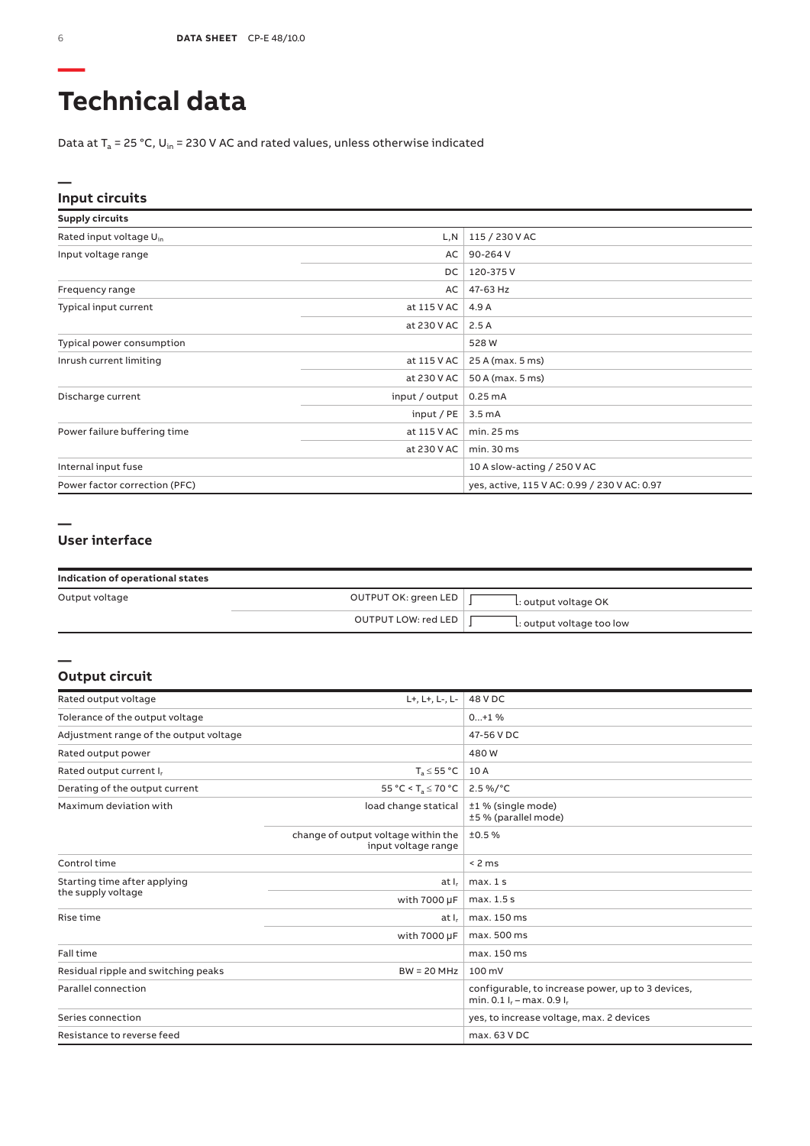# **Technical data**

Data at  $T_a$  = 25 °C, U<sub>in</sub> = 230 V AC and rated values, unless otherwise indicated

### **Input circuits**

| <b>Supply circuits</b>              |                                 |                                              |
|-------------------------------------|---------------------------------|----------------------------------------------|
| Rated input voltage U <sub>in</sub> | L,N                             | 115 / 230 V AC                               |
| Input voltage range                 | AC                              | 90-264 V                                     |
|                                     | DC                              | 120-375 V                                    |
| Frequency range                     | AC                              | 47-63 Hz                                     |
| Typical input current               | at 115 V AC                     | 4.9 A                                        |
|                                     | at 230 V AC                     | 2.5A                                         |
| Typical power consumption           |                                 | 528 W                                        |
| Inrush current limiting             | at 115 V AC<br>25 A (max. 5 ms) |                                              |
|                                     | at 230 V AC                     | 50 A (max. 5 ms)                             |
| Discharge current                   | input / output                  | 0.25mA                                       |
|                                     | input / $PE$                    | 3.5 <sub>m</sub> A                           |
| Power failure buffering time        | at 115 V AC                     | min. 25 ms                                   |
|                                     | at 230 V AC                     | min. 30 ms                                   |
| Internal input fuse                 |                                 | 10 A slow-acting / 250 V AC                  |
| Power factor correction (PFC)       |                                 | yes, active, 115 V AC: 0.99 / 230 V AC: 0.97 |

#### **—**

**—**

### **User interface**

| Indication of operational states |                      |                           |
|----------------------------------|----------------------|---------------------------|
| Output voltage                   | OUTPUT OK: green LED | L: output voltage OK      |
|                                  | OUTPUT LOW: red LED  | L: output voltage too low |

#### **Output circuit**

| Rated output voltage                                 | L+, L+, L-, L-                                             | 48 V DC                                                                        |
|------------------------------------------------------|------------------------------------------------------------|--------------------------------------------------------------------------------|
| Tolerance of the output voltage                      |                                                            | $0+1$ %                                                                        |
| Adjustment range of the output voltage               |                                                            | 47-56 V DC                                                                     |
| Rated output power                                   |                                                            | 480W                                                                           |
| Rated output current I,                              | $T_a \leq 55 °C$                                           | 10 A                                                                           |
| Derating of the output current                       | 55 °C < $T_a \le 70$ °C                                    | $2.5\%$ /°C                                                                    |
| Maximum deviation with                               | load change statical                                       | ±1 % (single mode)<br>±5 % (parallel mode)                                     |
|                                                      | change of output voltage within the<br>input voltage range | ±0.5%                                                                          |
| Control time                                         |                                                            | < 2 ms                                                                         |
| Starting time after applying                         | at I <sub>r</sub>                                          | max.1s                                                                         |
| the supply voltage                                   | with 7000 µF                                               | max. 1.5 s                                                                     |
| Rise time                                            | at I <sub>r</sub>                                          | max. 150 ms                                                                    |
|                                                      | with 7000 µF                                               | max. 500 ms                                                                    |
| Fall time                                            |                                                            | max. 150 ms                                                                    |
| Residual ripple and switching peaks<br>$BW = 20 MHz$ |                                                            | $100 \text{ mV}$                                                               |
| Parallel connection                                  |                                                            | configurable, to increase power, up to 3 devices,<br>min. 0.1 l, - max. 0.9 l, |
| Series connection                                    |                                                            | yes, to increase voltage, max. 2 devices                                       |
| Resistance to reverse feed                           |                                                            | max. 63 V DC                                                                   |

**—**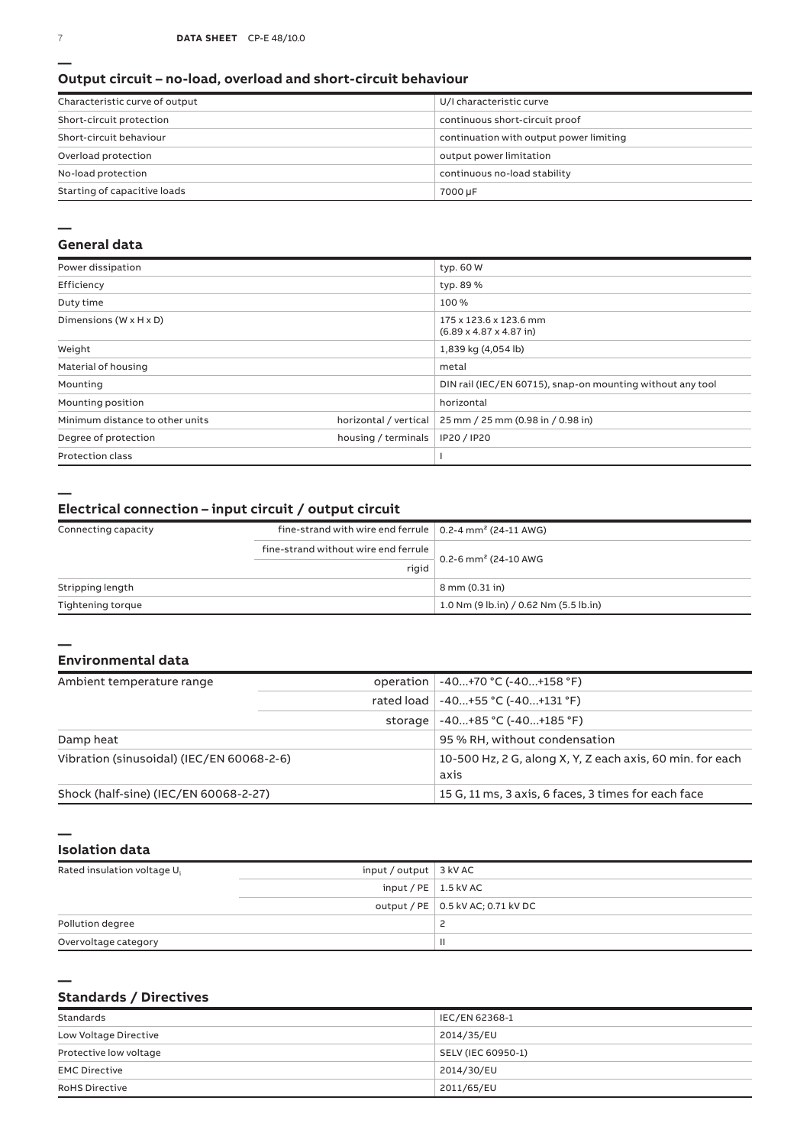#### **Output circuit – no-load, overload and short-circuit behaviour**

| Characteristic curve of output | U/I characteristic curve                |  |
|--------------------------------|-----------------------------------------|--|
| Short-circuit protection       | continuous short-circuit proof          |  |
| Short-circuit behaviour        | continuation with output power limiting |  |
| Overload protection            | output power limitation                 |  |
| No-load protection             | continuous no-load stability            |  |
| Starting of capacitive loads   | 7000 µF                                 |  |

#### **—**

#### **General data**

| Power dissipation                    |                       | typ. 60 W                                                             |  |
|--------------------------------------|-----------------------|-----------------------------------------------------------------------|--|
| Efficiency                           |                       | typ. 89 %                                                             |  |
| Duty time                            |                       | 100%                                                                  |  |
| Dimensions ( $W \times H \times D$ ) |                       | 175 x 123.6 x 123.6 mm<br>$(6.89 \times 4.87 \times 4.87 \text{ in})$ |  |
| Weight                               |                       | 1,839 kg (4,054 lb)                                                   |  |
| Material of housing                  |                       | metal                                                                 |  |
| Mounting                             |                       | DIN rail (IEC/EN 60715), snap-on mounting without any tool            |  |
| Mounting position                    |                       | horizontal                                                            |  |
| Minimum distance to other units      | horizontal / vertical | 25 mm / 25 mm (0.98 in / 0.98 in)                                     |  |
| Degree of protection                 | housing / terminals   | IP20 / IP20                                                           |  |
| <b>Protection class</b>              |                       |                                                                       |  |

**—**

**—**

#### **Electrical connection – input circuit / output circuit**

| Connecting capacity | fine-strand with wire end ferrule $\vert$ 0.2-4 mm <sup>2</sup> (24-11 AWG) |                                          |  |
|---------------------|-----------------------------------------------------------------------------|------------------------------------------|--|
|                     | fine-strand without wire end ferrule                                        |                                          |  |
|                     | rigid                                                                       | 0.2-6 mm <sup>2</sup> (24-10 AWG         |  |
| Stripping length    |                                                                             | 8 mm (0.31 in)                           |  |
| Tightening torque   |                                                                             | $1.0$ Nm (9 lb.in) / 0.62 Nm (5.5 lb.in) |  |

### **Environmental data**

| Ambient temperature range                 |  | operation   -40+70 °C (-40+158 °F)                                |  |
|-------------------------------------------|--|-------------------------------------------------------------------|--|
|                                           |  | rated load   -40+55 °C (-40+131 °F)                               |  |
|                                           |  | storage $-40+85$ °C $(-40+185$ °F)                                |  |
| Damp heat                                 |  | 95 % RH, without condensation                                     |  |
| Vibration (sinusoidal) (IEC/EN 60068-2-6) |  | 10-500 Hz, 2 G, along X, Y, Z each axis, 60 min. for each<br>axis |  |
| Shock (half-sine) (IEC/EN 60068-2-27)     |  | 15 G, 11 ms, 3 axis, 6 faces, 3 times for each face               |  |

**— Isolation data**

**—**

| Rated insulation voltage U <sub>i</sub> | input / output $\vert$ 3 kV AC |                                     |
|-----------------------------------------|--------------------------------|-------------------------------------|
|                                         | input / PE $\vert$ 1.5 kV AC   |                                     |
|                                         |                                | output / PE   0.5 kV AC; 0.71 kV DC |
| Pollution degree                        |                                |                                     |
| Overvoltage category                    |                                |                                     |

### **Standards / Directives**

| Standards              | IEC/EN 62368-1     |
|------------------------|--------------------|
| Low Voltage Directive  | 2014/35/EU         |
| Protective low voltage | SELV (IEC 60950-1) |
| <b>EMC Directive</b>   | 2014/30/EU         |
| <b>RoHS Directive</b>  | 2011/65/EU         |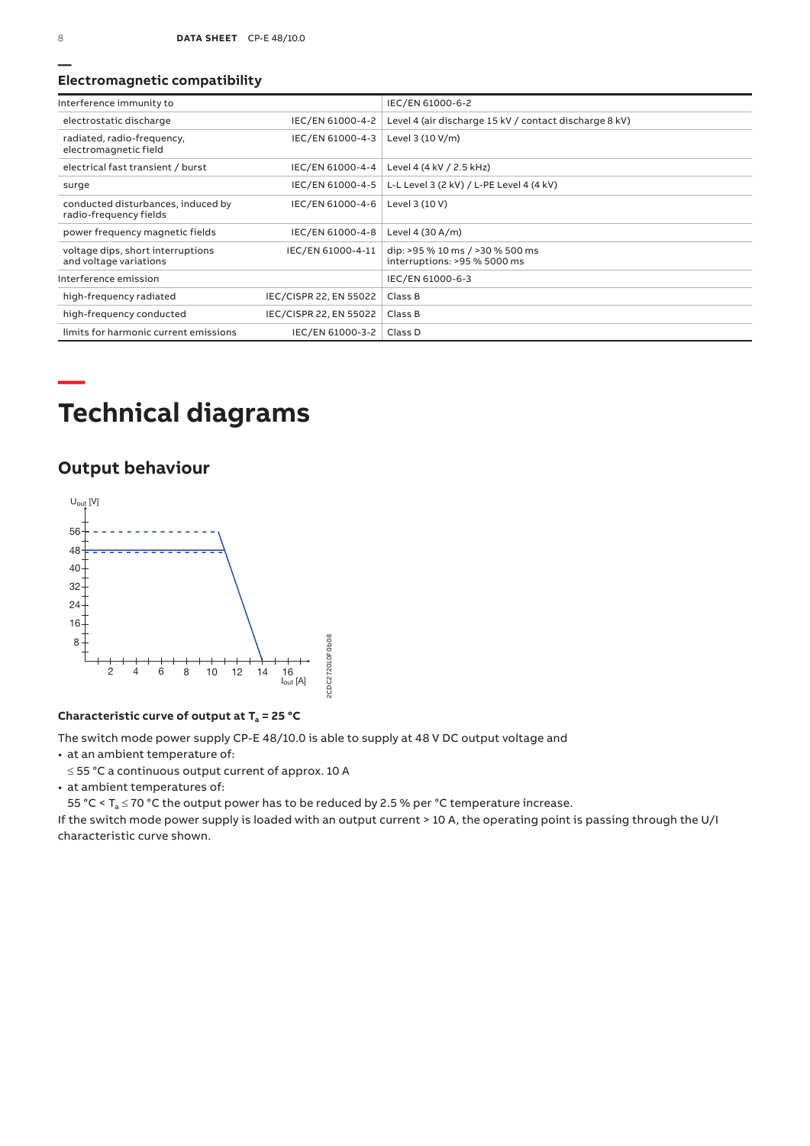#### **Electromagnetic compatibility**

| Interference immunity to                                     |                        | IEC/EN 61000-6-2                                                |
|--------------------------------------------------------------|------------------------|-----------------------------------------------------------------|
| electrostatic discharge                                      | IEC/EN 61000-4-2       | Level 4 (air discharge 15 kV / contact discharge 8 kV)          |
| radiated, radio-frequency,<br>electromagnetic field          | IEC/EN 61000-4-3       | Level 3 (10 V/m)                                                |
| electrical fast transient / burst                            | IEC/EN 61000-4-4       | Level 4 (4 kV / 2.5 kHz)                                        |
| surge                                                        | IEC/EN 61000-4-5       | L-L Level 3 (2 kV) / L-PE Level 4 (4 kV)                        |
| conducted disturbances, induced by<br>radio-frequency fields | IEC/EN 61000-4-6       | Level 3 (10 V)                                                  |
| power frequency magnetic fields                              | IEC/EN 61000-4-8       | Level 4 (30 A/m)                                                |
| voltage dips, short interruptions<br>and voltage variations  | IEC/EN 61000-4-11      | dip: >95 % 10 ms / >30 % 500 ms<br>interruptions: >95 % 5000 ms |
| Interference emission                                        |                        | IEC/EN 61000-6-3                                                |
| high-frequency radiated                                      | IEC/CISPR 22, EN 55022 | Class B                                                         |
| high-frequency conducted                                     | IEC/CISPR 22, EN 55022 | Class B                                                         |
| limits for harmonic current emissions                        | IEC/EN 61000-3-2       | Class D                                                         |

# **Technical diagrams**

## **Output behaviour**



#### **Characteristic curve of output at Ta = 25 °C**

The switch mode power supply CP‑E 48/10.0 is able to supply at 48 V DC output voltage and

• at an ambient temperature of:

≤ 55 °C a continuous output current of approx. 10 A

• at ambient temperatures of:

55 °C <  $T_a \le 70$  °C the output power has to be reduced by 2.5 % per °C temperature increase.

If the switch mode power supply is loaded with an output current > 10 A, the operating point is passing through the U/I characteristic curve shown.

**—**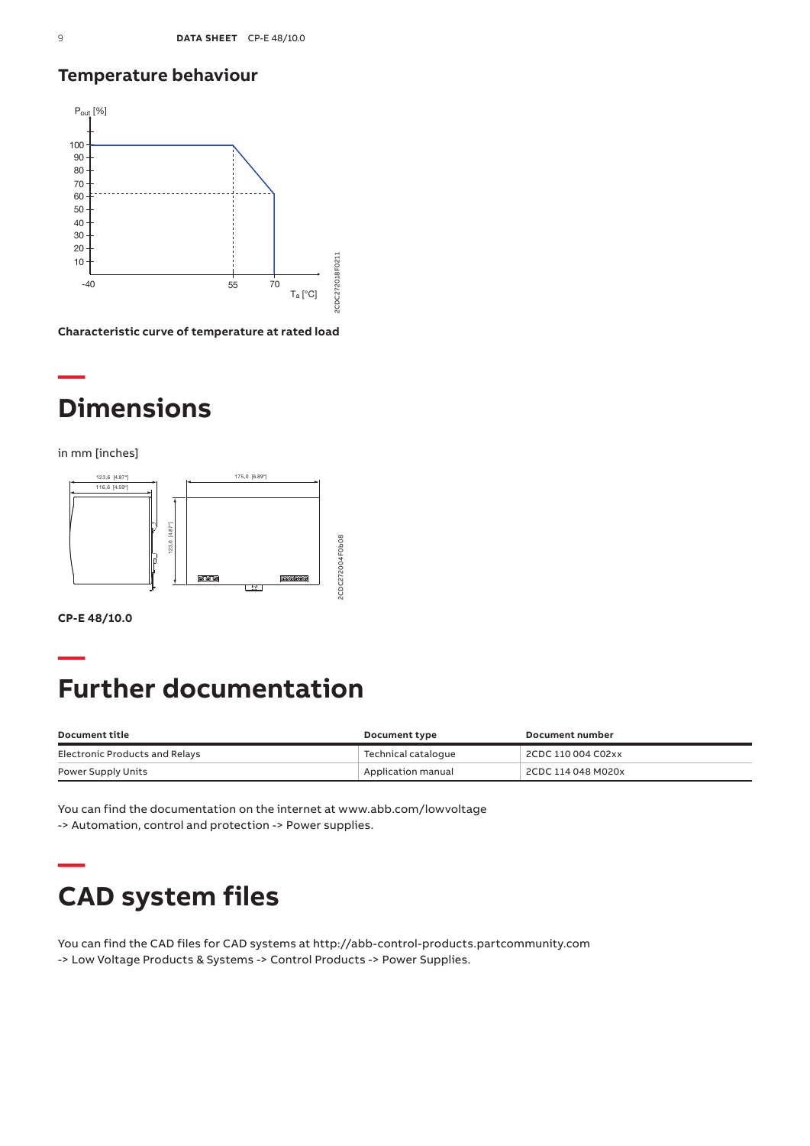## **Temperature behaviour**



**Characteristic curve of temperature at rated load**

# **— Dimensions**

in mm [inches]



**CP-E 48/10.0**

**—**

# **Further documentation**

| Document title                 | <b>Document type</b> | Document number    |
|--------------------------------|----------------------|--------------------|
| Electronic Products and Relays | Technical cataloque  | 2CDC 110 004 C02xx |
| Power Supply Units             | Application manual   | 2CDC 114 048 M020x |

You can find the documentation on the internet at www.abb.com/lowvoltage -> Automation, control and protection -> Power supplies.

# **— CAD system files**

You can find the CAD files for CAD systems at http://abb-control-products.partcommunity.com -> Low Voltage Products & Systems -> Control Products -> Power Supplies.